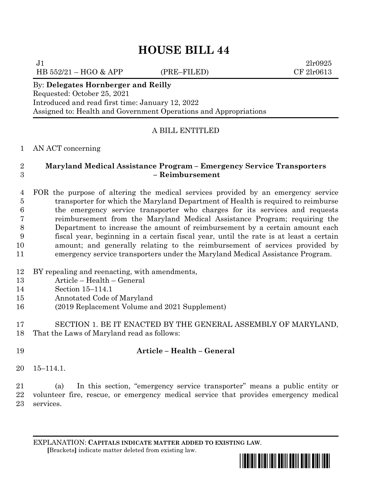# **HOUSE BILL 44**

HB 552/21 – HGO & APP (PRE–FILED) CF 2lr0613

 $J1$  2lr0925

By: **Delegates Hornberger and Reilly** Requested: October 25, 2021

Introduced and read first time: January 12, 2022 Assigned to: Health and Government Operations and Appropriations

# A BILL ENTITLED

AN ACT concerning

### **Maryland Medical Assistance Program – Emergency Service Transporters – Reimbursement**

 FOR the purpose of altering the medical services provided by an emergency service transporter for which the Maryland Department of Health is required to reimburse the emergency service transporter who charges for its services and requests reimbursement from the Maryland Medical Assistance Program; requiring the Department to increase the amount of reimbursement by a certain amount each fiscal year, beginning in a certain fiscal year, until the rate is at least a certain amount; and generally relating to the reimbursement of services provided by emergency service transporters under the Maryland Medical Assistance Program.

- BY repealing and reenacting, with amendments,
- Article Health General
- Section 15–114.1
- Annotated Code of Maryland
- (2019 Replacement Volume and 2021 Supplement)

 SECTION 1. BE IT ENACTED BY THE GENERAL ASSEMBLY OF MARYLAND, That the Laws of Maryland read as follows:

# **Article – Health – General**

15–114.1.

 (a) In this section, "emergency service transporter" means a public entity or volunteer fire, rescue, or emergency medical service that provides emergency medical services.

EXPLANATION: **CAPITALS INDICATE MATTER ADDED TO EXISTING LAW**.  **[**Brackets**]** indicate matter deleted from existing law.